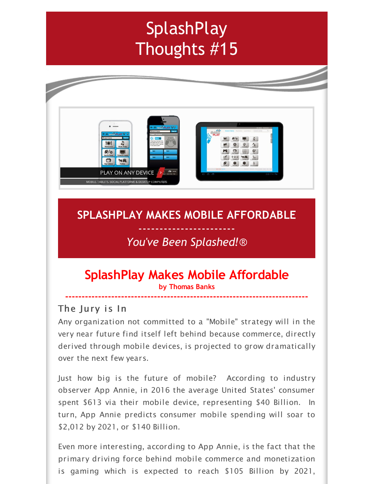# **SplashPlay** Thoughts #15



# **SPLASHPLAY MAKES MOBILE AFFORDABLE**

# ----------------------- *You've Been Splashed!*®

## **SplashPlay Makes Mobile Affordable by Thomas Banks**

**--------------------------------------------------------------------------**

#### The Jury is In

Any organization not committed to a "Mobile" strategy will in the very near future find itself left behind because commerce, directly derived through mobile devices, is projected to grow dramatically over the next few years.

Just how big is the future of mobile? According to industry observer App Annie, in 2016 the average United States' consumer spent \$613 via their mobile device, representing \$40 Billion. In turn, App Annie predicts consumer mobile spending will soar to \$2,012 by 2021, or \$140 Billion.

Even more interesting, according to App Annie, is the fact that the primary driving force behind mobile commerce and monetization is gaming which is expected to reach \$105 Billion by 2021,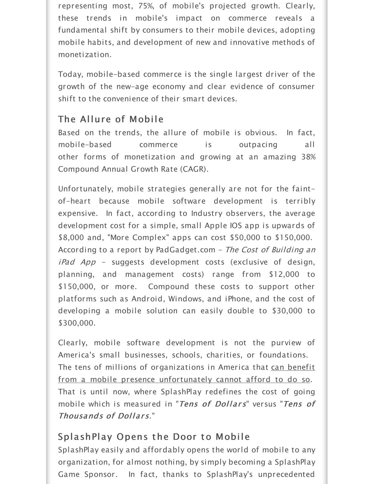representing most, 75%, of mobile's projected growth. Clearly, these trends in mobile's impact on commerce reveals a fundamental shift by consumers to their mobile devices, adopting mobile habits, and development of new and innovative methods of monetization.

Today, mobile-based commerce is the single largest driver of the growth of the new-age economy and clear evidence of consumer shift to the convenience of their smart devices.

## The Allure of Mobile

Based on the trends, the allure of mobile is obvious. In fact, mobile-based commerce is outpacing all other forms of monetization and growing at an amazing 38% Compound Annual Growth Rate (CAGR).

Unfortunately, mobile strategies generally are not for the faintof-heart because mobile software development is terribly expensive. In fact, according to Industry observers, the average development cost for a simple, small Apple IOS app is upwards of \$8,000 and, "More Complex" apps can cost \$50,000 to \$150,000. According to a report by PadGadget.com - The Cost of Building an  $iPad$   $App$  – suggests development costs (exclusive of design, planning, and management costs) range from \$12,000 to \$150,000, or more. Compound these costs to support other platforms such as Android, Windows, and iPhone, and the cost of developing a mobile solution can easily double to \$30,000 to \$300,000.

Clearly, mobile software development is not the purview of America's small businesses, schools, charities, or foundations. The tens of millions of organizations in America that can benefit from a mobile presence unfortunately cannot afford to do so. That is until now, where SplashPlay redefines the cost of going mobile which is measured in "Tens of Dollars" versus "Tens of Thousands of Dollars."

# SplashPlay Opens the Door to Mobile

SplashPlay easily and affordably opens the world of mobile to any organization, for almost nothing, by simply becoming a SplashPlay Game Sponsor. In fact, thanks to SplashPlay's unprecedented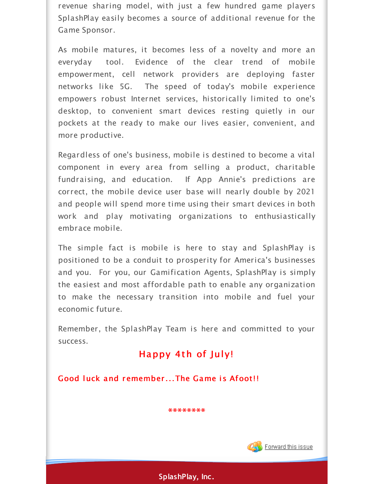revenue sharing model, with just a few hundred game players SplashPlay easily becomes a source of additional revenue for the Game Sponsor.

As mobile matures, it becomes less of a novelty and more an everyday tool. Evidence of the clear trend of mobile empowerment, cell network providers are deploying faster networks like 5G. The speed of today's mobile experience empowers robust Internet services, historically limited to one's desktop, to convenient smart devices resting quietly in our pockets at the ready to make our lives easier, convenient, and more productive.

Regardless of one's business, mobile is destined to become a vital component in every area from selling a product, charitable fundraising, and education. If App Annie's predictions are correct, the mobile device user base will nearly double by 2021 and people will spend more time using their smart devices in both work and play motivating organizations to enthusiastically embrace mobile.

The simple fact is mobile is here to stay and SplashPlay is positioned to be a conduit to prosperity for America's businesses and you. For you, our Gamification Agents, SplashPlay is simply the easiest and most affordable path to enable any organization to make the necessary transition into mobile and fuel your economic future.

Remember, the SplashPlay Team is here and committed to your success.

#### Happy 4th of July!

Good luck and remember...The Game is Afoot!!

**\*\*\*\*\*\*\*\***



**SplashPlay, Inc.**